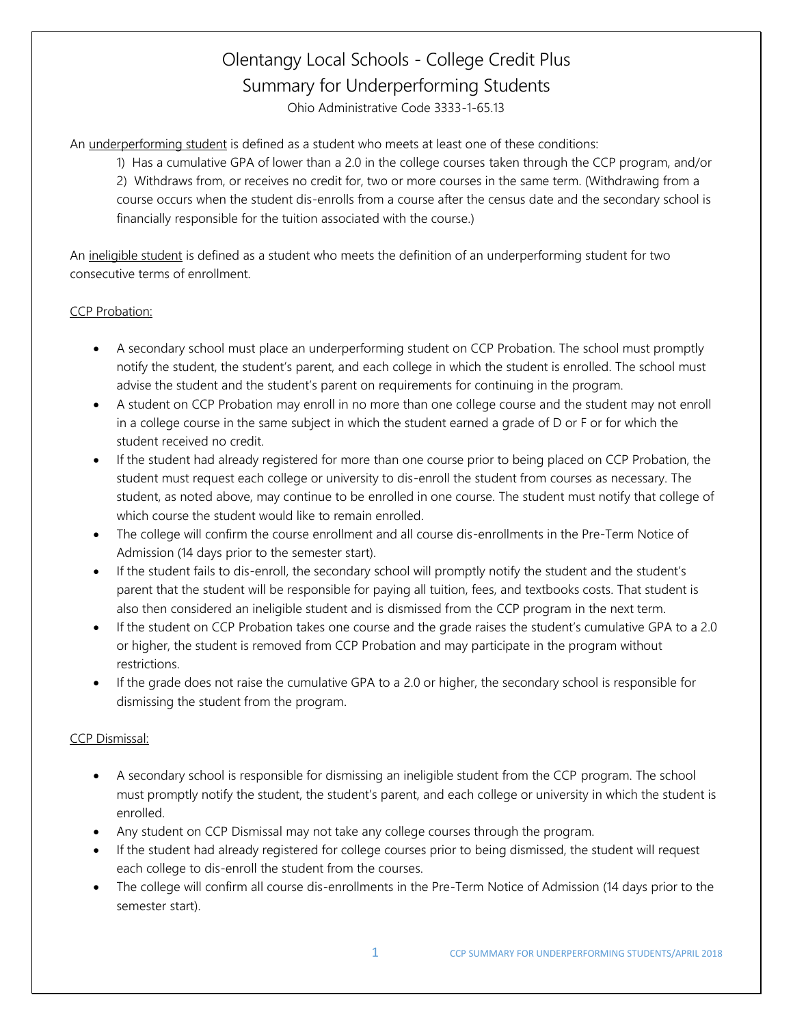# Olentangy Local Schools - College Credit Plus Summary for Underperforming Students Ohio Administrative Code 3333-1-65.13

An underperforming student is defined as a student who meets at least one of these conditions:

1) Has a cumulative GPA of lower than a 2.0 in the college courses taken through the CCP program, and/or 2) Withdraws from, or receives no credit for, two or more courses in the same term. (Withdrawing from a course occurs when the student dis-enrolls from a course after the census date and the secondary school is financially responsible for the tuition associated with the course.)

An ineligible student is defined as a student who meets the definition of an underperforming student for two consecutive terms of enrollment.

## CCP Probation:

- A secondary school must place an underperforming student on CCP Probation. The school must promptly notify the student, the student's parent, and each college in which the student is enrolled. The school must advise the student and the student's parent on requirements for continuing in the program.
- A student on CCP Probation may enroll in no more than one college course and the student may not enroll in a college course in the same subject in which the student earned a grade of D or F or for which the student received no credit.
- If the student had already registered for more than one course prior to being placed on CCP Probation, the student must request each college or university to dis-enroll the student from courses as necessary. The student, as noted above, may continue to be enrolled in one course. The student must notify that college of which course the student would like to remain enrolled.
- The college will confirm the course enrollment and all course dis-enrollments in the Pre-Term Notice of Admission (14 days prior to the semester start).
- If the student fails to dis-enroll, the secondary school will promptly notify the student and the student's parent that the student will be responsible for paying all tuition, fees, and textbooks costs. That student is also then considered an ineligible student and is dismissed from the CCP program in the next term.
- If the student on CCP Probation takes one course and the grade raises the student's cumulative GPA to a 2.0 or higher, the student is removed from CCP Probation and may participate in the program without restrictions.
- If the grade does not raise the cumulative GPA to a 2.0 or higher, the secondary school is responsible for dismissing the student from the program.

## CCP Dismissal:

- A secondary school is responsible for dismissing an ineligible student from the CCP program. The school must promptly notify the student, the student's parent, and each college or university in which the student is enrolled.
- Any student on CCP Dismissal may not take any college courses through the program.
- If the student had already registered for college courses prior to being dismissed, the student will request each college to dis-enroll the student from the courses.
- The college will confirm all course dis-enrollments in the Pre-Term Notice of Admission (14 days prior to the semester start).